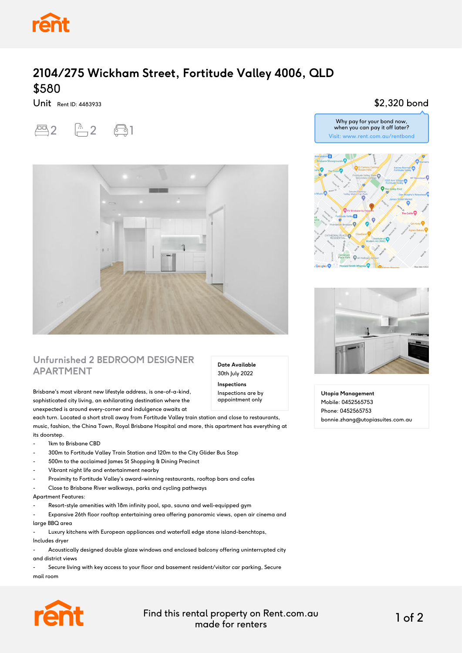

## **2104/275 Wickham Street, Fortitude Valley 4006, QLD** \$580

Unit Rent ID: 4483933





#### **Unfurnished 2 BEDROOM DESIGNER APARTMENT**

Brisbane's most vibrant new lifestyle address, is one-of-a-kind, sophisticated city living, an exhilarating destination where the unexpected is around every-corner and indulgence awaits at

each turn. Located a short stroll away from Fortitude Valley train station and close to restaurants, music, fashion, the China Town, Royal Brisbane Hospital and more, this apartment has everything at its doorstep.

- 1km to Brisbane CBD
- 300m to Fortitude Valley Train Station and 120m to the City Glider Bus Stop
- 500m to the acclaimed James St Shopping & Dining Precinct
- Vibrant night life and entertainment nearby
- Proximity to Fortitude Valley's award-winning restaurants, rooftop bars and cafes
- Close to Brisbane River walkways, parks and cycling pathways

#### Apartment Features:

- Resort-style amenities with 18m infinity pool, spa, sauna and well-equipped gym
- Expansive 26th floor rooftop entertaining area offering panoramic views, open air cinema and large BBQ area

- Luxury kitchens with European appliances and waterfall edge stone island-benchtops,

Includes dryer

- Acoustically designed double glaze windows and enclosed balcony offering uninterrupted city and district views

- Secure living with key access to your floor and basement resident/visitor car parking, Secure mail room



Find this rental property on Rent.com.au made for renters 1 of 2

**Date Available** 30th July 2022 **Inspections** Inspections are by appointment only

### \$2,320 bond





**Utopia Management** Mobile: 0452565753 Phone: 0452565753 bonnie.zhang@utopiasuites.com.au